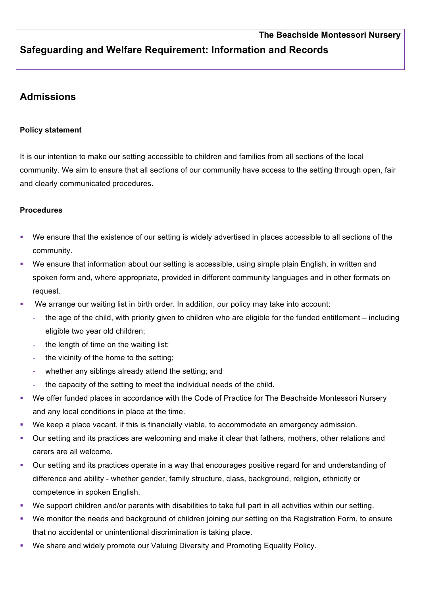## **Safeguarding and Welfare Requirement: Information and Records**

## **Admissions**

## **Policy statement**

It is our intention to make our setting accessible to children and families from all sections of the local community. We aim to ensure that all sections of our community have access to the setting through open, fair and clearly communicated procedures.

## **Procedures**

- We ensure that the existence of our setting is widely advertised in places accessible to all sections of the community.
- We ensure that information about our setting is accessible, using simple plain English, in written and spoken form and, where appropriate, provided in different community languages and in other formats on request.
- We arrange our waiting list in birth order. In addition, our policy may take into account:
	- the age of the child, with priority given to children who are eligible for the funded entitlement including eligible two year old children;
	- the length of time on the waiting list;
	- the vicinity of the home to the setting;
	- whether any siblings already attend the setting; and
	- the capacity of the setting to meet the individual needs of the child.
- We offer funded places in accordance with the Code of Practice for The Beachside Montessori Nursery and any local conditions in place at the time.
- We keep a place vacant, if this is financially viable, to accommodate an emergency admission.
- § Our setting and its practices are welcoming and make it clear that fathers, mothers, other relations and carers are all welcome.
- Our setting and its practices operate in a way that encourages positive regard for and understanding of difference and ability - whether gender, family structure, class, background, religion, ethnicity or competence in spoken English.
- We support children and/or parents with disabilities to take full part in all activities within our setting.
- We monitor the needs and background of children joining our setting on the Registration Form, to ensure that no accidental or unintentional discrimination is taking place.
- We share and widely promote our Valuing Diversity and Promoting Equality Policy.